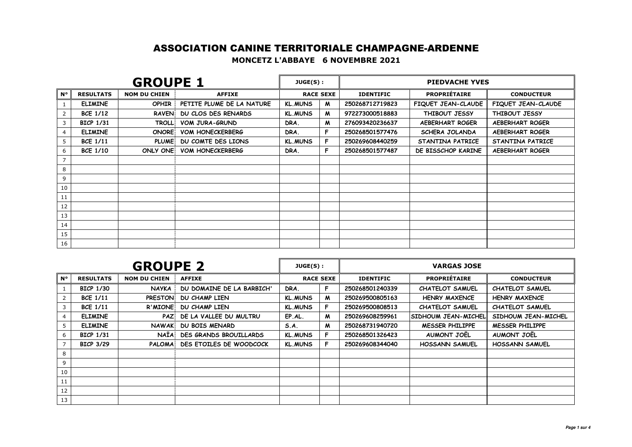## ASSOCIATION CANINE TERRITORIALE CHAMPAGNE-ARDENNE**MONCETZ L'ABBAYE 6 NOVEMBRE 2021**

| <b>GROUPE 1</b> |                  |                     |                           | JUGE(S):       |                  | <b>PIEDVACHE YVES</b> |                     |                        |  |
|-----------------|------------------|---------------------|---------------------------|----------------|------------------|-----------------------|---------------------|------------------------|--|
| $N^{\circ}$     | <b>RESULTATS</b> | <b>NOM DU CHIEN</b> | <b>AFFIXE</b>             |                | <b>RACE SEXE</b> | <b>IDENTIFIC</b>      | <b>PROPRIÉTAIRE</b> | <b>CONDUCTEUR</b>      |  |
|                 | <b>ELIMINE</b>   | <b>OPHIR</b>        | PETITE PLUME DE LA NATURE | <b>KL.MUNS</b> | M                | 250268712719823       | FIQUET JEAN-CLAUDE  | FIQUET JEAN-CLAUDE     |  |
| 2               | <b>BCE 1/12</b>  | <b>RAVEN!</b>       | DU CLOS DES RENARDS       | <b>KL.MUNS</b> | M                | 972273000518883       | THIBOUT JESSY       | THIBOUT JESSY          |  |
| 3               | <b>BICP 1/31</b> | <b>TROLL!</b>       | VOM JURA-GRUND            | DRA.           | M                | 276093420236637       | AEBERHART ROGER     | <b>AEBERHART ROGER</b> |  |
| 4               | <b>ELIMINE</b>   | <b>ONORE</b>        | <b>VOM HONECKERBERG</b>   | DRA.           | F                | 250268501577476       | SCHERA JOLANDA      | <b>AEBERHART ROGER</b> |  |
| 5               | <b>BCE 1/11</b>  | <b>PLUME!</b>       | DU COMTE DES LIONS        | <b>KL.MUNS</b> | F                | 250269608440259       | STANTINA PATRICE    | STANTINA PATRICE       |  |
| 6               | <b>BCE 1/10</b>  | ONLY ONE            | <b>VOM HONECKERBERG</b>   | DRA.           | F                | 250268501577487       | DE BISSCHOP KARINE  | <b>AEBERHART ROGER</b> |  |
| $\overline{7}$  |                  |                     |                           |                |                  |                       |                     |                        |  |
| 8               |                  |                     |                           |                |                  |                       |                     |                        |  |
| 9               |                  |                     |                           |                |                  |                       |                     |                        |  |
| 10              |                  |                     |                           |                |                  |                       |                     |                        |  |
| 11              |                  |                     |                           |                |                  |                       |                     |                        |  |
| 12              |                  |                     |                           |                |                  |                       |                     |                        |  |
| 13              |                  |                     |                           |                |                  |                       |                     |                        |  |
| 14              |                  |                     |                           |                |                  |                       |                     |                        |  |
| 15              |                  |                     |                           |                |                  |                       |                     |                        |  |
| 16              |                  |                     |                           |                |                  |                       |                     |                        |  |

| <b>GROUPE 2</b> |                  |                     |                               | JUGE(S):       |                  | <b>VARGAS JOSE</b> |                        |                        |  |
|-----------------|------------------|---------------------|-------------------------------|----------------|------------------|--------------------|------------------------|------------------------|--|
| <b>N°</b>       | <b>RESULTATS</b> | <b>NOM DU CHIEN</b> | <b>AFFIXE</b>                 |                | <b>RACE SEXE</b> | <b>IDENTIFIC</b>   | <b>PROPRIÉTAIRE</b>    |                        |  |
|                 | <b>BICP 1/30</b> | <b>NAYKA</b>        | DU DOMAINE DE LA BARBICH'     | DRA.           | F.               | 250268501240339    | <b>CHATELOT SAMUEL</b> | <b>CHATELOT SAMUEL</b> |  |
|                 | <b>BCE 1/11</b>  | <b>PRESTON</b>      | DU CHAMP LIEN                 | <b>KL.MUNS</b> | M                | 250269500805163    | <b>HENRY MAXENCE</b>   | <b>HENRY MAXENCE</b>   |  |
|                 | <b>BCE 1/11</b>  | R'MIONE             | DU CHAMP LIEN                 | <b>KL.MUNS</b> | F.               | 250269500808513    | <b>CHATELOT SAMUEL</b> | <b>CHATELOT SAMUEL</b> |  |
|                 | <b>ELIMINE</b>   |                     | PAZ DE LA VALLEE DU MULTRU    | EP.AL.         | M                | 250269608259961    | SIDHOUM JEAN-MICHEL    | SIDHOUM JEAN-MICHEL    |  |
| 5               | <b>ELIMINE</b>   | <b>NAWAK</b>        | DU BOIS MENARD                | S.A.           | M                | 250268731940720    | <b>MESSER PHILIPPE</b> | <b>MESSER PHILIPPE</b> |  |
|                 | <b>BICP 1/31</b> | NAÏA                | <b>DES GRANDS BROUILLARDS</b> | <b>KL.MUNS</b> | F.               | 250268501326423    | AUMONT JOEL            | AUMONT JOEL            |  |
|                 | <b>BICP 3/29</b> | PALOMA              | DES ETOILES DE WOODCOCK       | <b>KL.MUNS</b> |                  | 250269608344040    | <b>HOSSANN SAMUEL</b>  | <b>HOSSANN SAMUEL</b>  |  |
| 8               |                  |                     |                               |                |                  |                    |                        |                        |  |
| 9               |                  |                     |                               |                |                  |                    |                        |                        |  |
| 10              |                  |                     |                               |                |                  |                    |                        |                        |  |
| 11              |                  |                     |                               |                |                  |                    |                        |                        |  |
| 12              |                  |                     |                               |                |                  |                    |                        |                        |  |
| 13              |                  |                     |                               |                |                  |                    |                        |                        |  |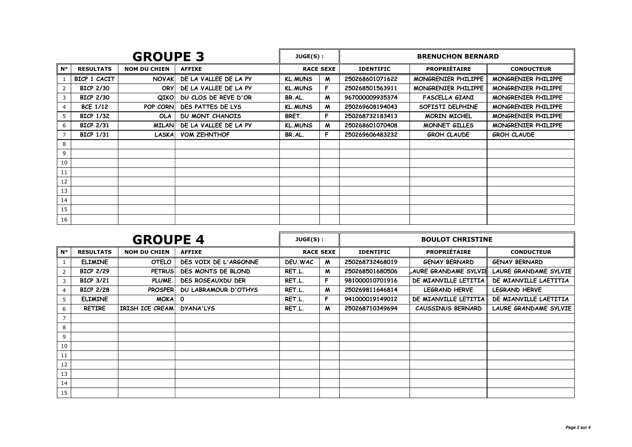| <b>GROUPE 3</b> |                  |                     |                        | JUGE(S):       |                  | <b>BRENUCHON BERNARD</b>                |                       |                     |  |
|-----------------|------------------|---------------------|------------------------|----------------|------------------|-----------------------------------------|-----------------------|---------------------|--|
| $N^{\circ}$     | <b>RESULTATS</b> | <b>NOM DU CHIEN</b> | <b>AFFIXE</b>          |                | <b>RACE SEXE</b> | <b>PROPRIÉTAIRE</b><br><b>IDENTIFIC</b> |                       | <b>CONDUCTEUR</b>   |  |
|                 | BICP 1 CACIT     | <b>NOVAK</b>        | DE LA VALLEE DE LA PY  | <b>KL.MUNS</b> | M                | 250268601071622                         | MONGRENIER PHILIPPE   | MONGRENIER PHILIPPE |  |
|                 | <b>BICP 2/30</b> | <b>ORY</b>          | DE LA VALLEE DE LA PY  | <b>KL.MUNS</b> | F.               | 250268501563911                         | MONGRENIER PHILIPPE   | MONGRENIER PHILIPPE |  |
| 3               | <b>BICP 2/30</b> | QIKO                | DU CLOS DE REVE D'OR   | BR.AL.         | M                | 967000009935374                         | <b>FASCELLA GIANI</b> | MONGRENIER PHILIPPE |  |
| 4               | <b>BCE 1/12</b>  | POP CORN            | DES PATTES DE LYS      | <b>KL.MUNS</b> | M                | 250269608194043                         | SOFISTI DELPHINE      | MONGRENIER PHILIPPE |  |
| 5               | <b>BICP 1/32</b> | <b>OLA</b>          | <b>DU MONT CHANOIS</b> | BRET.          | F                | 250268732183413                         | MORIN MICHEL          | MONGRENIER PHILIPPE |  |
| 6               | <b>BICP 2/31</b> | <b>MILAN</b>        | DE LA VALLEE DE LA PY  | <b>KL.MUNS</b> | M                | 250268601070408                         | MONNET GILLES         | MONGRENIER PHILIPPE |  |
|                 | <b>BICP 1/31</b> | LASKA               | <b>VOM ZEHNTHOF</b>    | BR.AL.         | F                | 250269606483232                         | <b>GROH CLAUDE</b>    | <b>GROH CLAUDE</b>  |  |
| 8               |                  |                     |                        |                |                  |                                         |                       |                     |  |
| 9               |                  |                     |                        |                |                  |                                         |                       |                     |  |
| 10              |                  |                     |                        |                |                  |                                         |                       |                     |  |
| 11              |                  |                     |                        |                |                  |                                         |                       |                     |  |
| 12              |                  |                     |                        |                |                  |                                         |                       |                     |  |
| 13              |                  |                     |                        |                |                  |                                         |                       |                     |  |
| 14              |                  |                     |                        |                |                  |                                         |                       |                     |  |
| 15              |                  |                     |                        |                |                  |                                         |                       |                     |  |
| 16              |                  |                     |                        |                |                  |                                         |                       |                     |  |

| <b>GROUPE 4</b> |                  |                     |                             | JUGE(S): |                  | <b>BOULOT CHRISTINE</b>                 |                       |                              |  |
|-----------------|------------------|---------------------|-----------------------------|----------|------------------|-----------------------------------------|-----------------------|------------------------------|--|
| <b>N°</b>       | <b>RESULTATS</b> | <b>NOM DU CHIEN</b> | <b>AFFIXE</b>               |          | <b>RACE SEXE</b> | <b>PROPRIÉTAIRE</b><br><b>IDENTIFIC</b> |                       | <b>CONDUCTEUR</b>            |  |
|                 | <b>ELIMINE</b>   | OTELO               | DES VOIX DE L'ARGONNE       | DEU, WAC | M                | 250268732468019                         | <b>GENAY BERNARD</b>  | <b>GENAY BERNARD</b>         |  |
| $\overline{2}$  | <b>BICP 2/29</b> | <b>PETRUS</b>       | DES MONTS DE BLOND          | RET.L.   | M                | 250268501680506                         | LAURE GRANDAME SYLVIE | <b>LAURE GRANDAME SYLVIE</b> |  |
| 3               | <b>BICP 3/21</b> | PLUME.              | <b>DES ROSEAUXDU DER</b>    | RET.L.   | F.               | 981000010701916                         | DE MIANVILLE LETITIA  | DE MIANVILLE LAETITIA        |  |
| 4               | <b>BICP 2/28</b> | <b>PROSPER</b>      | <b>DU LABRAMOUR D'OTHYS</b> | RET.L.   | M                | 250269811646814                         | <b>LEGRAND HERVE</b>  | <b>LEGRAND HERVE</b>         |  |
| 5               | <b>ELIMINE</b>   | <b>MOKA</b>         | $\mathbf{o}$                | RET.L.   | F.               | 941000019149012                         | DE MIANVILLE LETITIA  | DE MIANVILLE LAETITIA        |  |
| 6               | <b>RETIRE</b>    | IRISH ICE CREAM     | <b>DYANA'LYS</b>            | RET.L.   | M                | 250268710349694                         | CAUSSINUS BERNARD     | LAURE GRANDAME SYLVIE        |  |
| $\overline{7}$  |                  |                     |                             |          |                  |                                         |                       |                              |  |
| 8               |                  |                     |                             |          |                  |                                         |                       |                              |  |
| 9               |                  |                     |                             |          |                  |                                         |                       |                              |  |
| 10              |                  |                     |                             |          |                  |                                         |                       |                              |  |
| 11              |                  |                     |                             |          |                  |                                         |                       |                              |  |
| 12              |                  |                     |                             |          |                  |                                         |                       |                              |  |
| 13              |                  |                     |                             |          |                  |                                         |                       |                              |  |
| 14              |                  |                     |                             |          |                  |                                         |                       |                              |  |
| 15              |                  |                     |                             |          |                  |                                         |                       |                              |  |